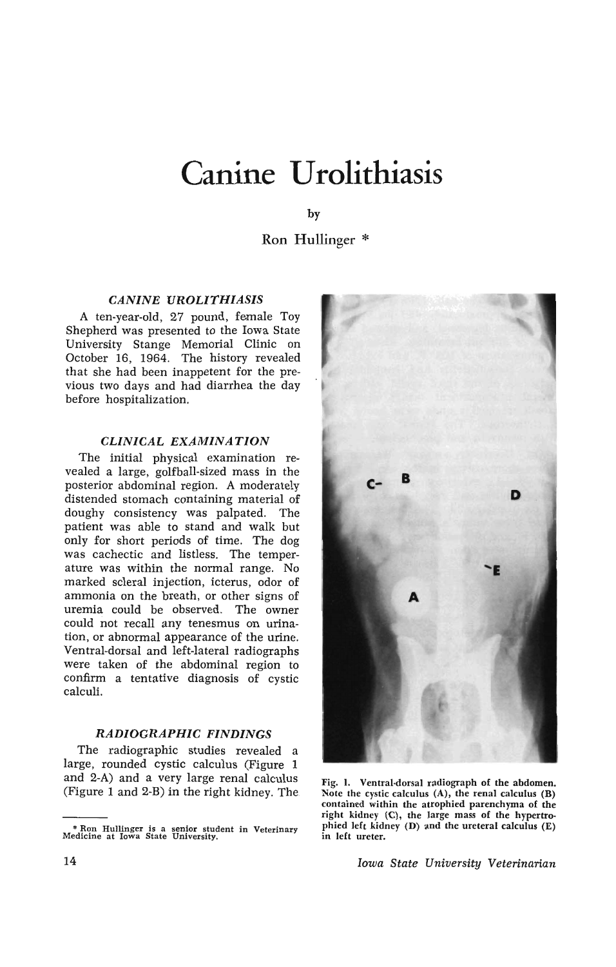# **Canine Urolithiasis**

by

Ron Hullinger \*

## *CANINE UROLITHIASIS*

A ten-year-old, 27 pound, female Toy Shepherd was presented to the Iowa State University Stange Memorial Clinic on October 16, 1964. The history revealed that she had been inappetent for the previous two days and had diarrhea the day before hospitalization.

## *CLINICAL EXAMINATION*

The initial physical examination revealed a large, golfball-sized mass in the posterior abdominal region. A moderately distended stomach containing material of doughy consistency was palpated. The patient was able to stand and walk but only for short periods of time. The dog was cachectic and listless. The temperature was within the normal range. No marked scleral injection, icterus, odor of ammonia on the breath, or other signs of uremia could be observed. The owner could not recall any tenesmus on urination, or abnormal appearance of the urine. Ventral-dorsal and left-lateral radiographs were taken of the abdominal region to confirm a tentative diagnosis of cystic calculi.

## *RADIOGRAPHIC FINDINGS*

The radiographic studies revealed a large, rounded cystic calculus (Figure 1 and 2-A) and a very large renal calculus (Figure 1 and 2-B) in the right kidney. The

<sup>\*</sup> Ron Hullinger is a senior student in Veterinary Medicine at Iowa State University.



Fig. I. Ventral·dorsal radiograph of the abdomen. Note the cystic calculus  $(A)$ , the renal calculus  $(B)$ contained within the atrophied parenchyma of the right kidney (C), the large mass of the hypertrophied left kidney (D) and the ureteral calculus  $(E)$ in left ureter.

*Iowa State University Veterinarian*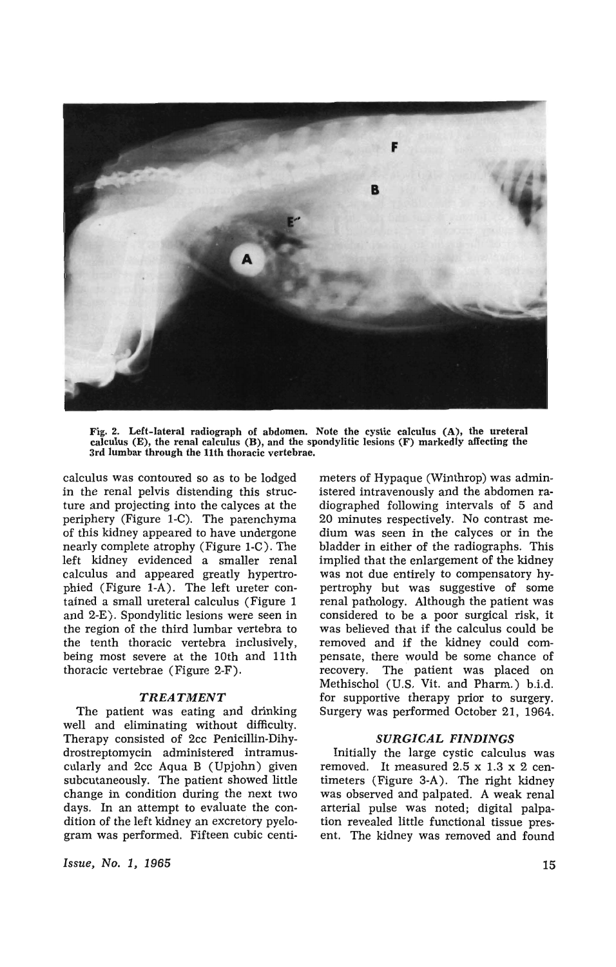

Fig. 2. Left-lateral radiograph of abdomen. Note the cystic calculus (A), the ureteral calculus (E), the renal calculus (B), and the spondylitic lesions (F) markedly affecting the 3rd lumbar through the 11th thoracic vertebrae.

calculus was contoured so as to be lodged in the renal pelvis distending this structure and projecting into the calyces at the periphery (Figure I-C). The parenchyma of this kidney appeared to have undergone nearly complete atrophy (Figure I-C). The left kidney evidenced a smaller renal calculus and appeared greatly hypertrophied (Figure I-A). The left ureter contained a small ureteral calculus (Figure 1 and 2-E). Spondylitic lesions were seen in the region of the third lumbar vertebra to the tenth thoracic vertebra inclusively, being most severe at the 10th and 11th thoracic vertebrae (Figure 2-F).

#### *TREATMENT*

The patient was eating and drinking well and eliminating without difficulty. Therapy consisted of 2cc Penicillin-Dihydrostreptomycin administered intramuscularly and 2cc Aqua B (Upjohn) given subcutaneously. The patient showed little change in condition during the next two days. In an attempt to evaluate the condition of the left kidney an excretory pyelogram was performed. Fifteen cubic centi-

*Issue, No.1, 1965* 

meters of Hypaque (Winthrop) was administered intravenously and the abdomen radiographed following intervals of 5 and 20 minutes respectively. No contrast medium was seen in the calyces or in the bladder in either of the radiographs. This implied that the enlargement of the kidney was not due entirely to compensatory hypertrophy but was suggestive of some renal pathology. Although the patient was considered to be a poor surgical risk, it was believed that if the calculus could be removed and if the kidney could compensate, there would be some chance of recovery. The patient was placed on Methischol (U.S. Vit. and Pharm.) b.i.d. for supportive therapy prior to surgery. Surgery was performed October 21, 1964.

### *SURGICAL FINDINGS*

Initially the large cystic calculus was removed. It measured 2.5 x 1.3 x 2 centimeters (Figure 3-A). The right kidney was observed and palpated. A weak renal arterial pulse was noted; digital palpation revealed little functional tissue present. The kidney was removed and found